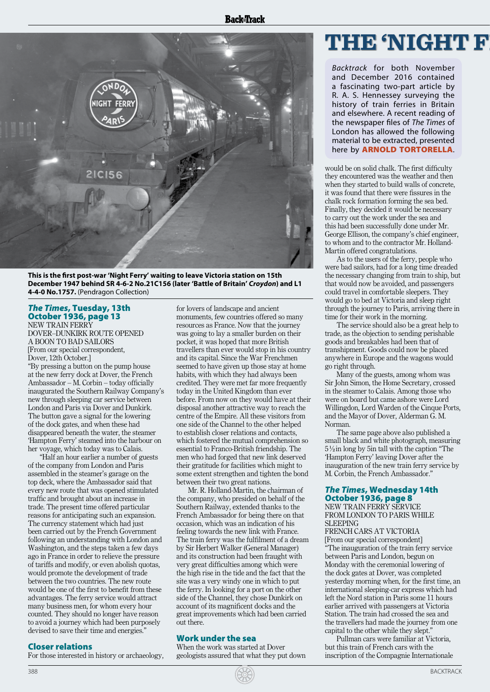

**This is the first post-war 'Night Ferry' waiting to leave Victoria station on 15th December 1947 behind SR 4-6-2 No.21C156 (later 'Battle of Britain'** *Croydon***) and L1 4-4-0 No.1757.** (Pendragon Collection)

## *The Times*, Tuesday, 13th October 1936, page 13

NEW TRAIN FERRY DOVER–DUNKIRK ROUTE OPENED A BOON TO BAD SAILORS [From our special correspondent, Dover, 12th October.]

"By pressing a button on the pump house at the new ferry dock at Dover, the French Ambassador – M. Corbin – today officially inaugurated the Southern Railway Company's new through sleeping car service between London and Paris via Dover and Dunkirk. The button gave a signal for the lowering of the dock gates, and when these had disappeared beneath the water, the steamer 'Hampton Ferry' steamed into the harbour on her voyage, which today was to Calais.

"Half an hour earlier a number of guests of the company from London and Paris assembled in the steamer's garage on the top deck, where the Ambassador said that every new route that was opened stimulated traffic and brought about an increase in trade. The present time offered particular reasons for anticipating such an expansion. The currency statement which had just been carried out by the French Government following an understanding with London and Washington, and the steps taken a few days ago in France in order to relieve the pressure of tariffs and modify, or even abolish quotas, would promote the development of trade between the two countries. The new route would be one of the first to benefit from these advantages. The ferry service would attract many business men, for whom every hour counted. They should no longer have reason to avoid a journey which had been purposely devised to save their time and energies."

Closer relations

388

For those interested in history or archaeology,

for lovers of landscape and ancient monuments, few countries offered so many resources as France. Now that the journey was going to lay a smaller burden on their pocket, it was hoped that more British travellers than ever would stop in his country and its capital. Since the War Frenchmen seemed to have given up those stay at home habits, with which they had always been credited. They were met far more frequently today in the United Kingdom than ever before. From now on they would have at their disposal another attractive way to reach the centre of the Empire. All these visitors from one side of the Channel to the other helped to establish closer relations and contacts, which fostered the mutual comprehension so essential to Franco-British friendship. The men who had forged that new link deserved their gratitude for facilities which might to some extent strengthen and tighten the bond between their two great nations.

Mr. R. Holland-Martin, the chairman of the company, who presided on behalf of the Southern Railway, extended thanks to the French Ambassador for being there on that occasion, which was an indication of his feeling towards the new link with France. The train ferry was the fulfilment of a dream by Sir Herbert Walker (General Manager) and its construction had been fraught with very great difficulties among which were the high rise in the tide and the fact that the site was a very windy one in which to put the ferry. In looking for a port on the other side of the Channel, they chose Dunkirk on account of its magnificent docks and the great improvements which had been carried out there.

### Work under the sea

When the work was started at Dover geologists assured that what they put down

## **THE 'NIGHT FERRY'– AS INTRODUCED IN** *THE TIMES*

*Backtrack* for both November and December 2016 contained a fascinating two-part article by R. A. S. Hennessey surveying the history of train ferries in Britain and elsewhere. A recent reading of the newspaper files of *The Times* of London has allowed the following material to be extracted, presented here by ARNOLD TORTORELLA.

would be on solid chalk. The first difficulty they encountered was the weather and then when they started to build walls of concrete, it was found that there were fissures in the chalk rock formation forming the sea bed. Finally, they decided it would be necessary to carry out the work under the sea and this had been successfully done under Mr. George Ellison, the company's chief engineer, to whom and to the contractor Mr. Holland-Martin offered congratulations.

As to the users of the ferry, people who were bad sailors, had for a long time dreaded the necessary changing from train to ship, but that would now be avoided, and passengers could travel in comfortable sleepers. They would go to bed at Victoria and sleep right through the journey to Paris, arriving there in time for their work in the morning.

The service should also be a great help to trade, as the objection to sending perishable goods and breakables had been that of transhipment. Goods could now be placed anywhere in Europe and the wagons would go right through.

Many of the guests, among whom was Sir John Simon, the Home Secretary, crossed in the steamer to Calais. Among those who were on board but came ashore were Lord Willingdon, Lord Warden of the Cinque Ports, and the Mayor of Dover, Alderman G. M. Norman.

The same page above also published a small black and white photograph, measuring 5½in long by 5in tall with the caption "The 'Hampton Ferry' leaving Dover after the inauguration of the new train ferry service by M. Corbin, the French Ambassador."

### *The Times*, Wednesday 14th October 1936, page 8

NEW TRAIN FERRY SERVICE FROM LONDON TO PARIS WHILE **SLEEPING** 

FRENCH CARS AT VICTORIA [From our special correspondent] "The inauguration of the train ferry service between Paris and London, begun on Monday with the ceremonial lowering of the dock gates at Dover, was completed yesterday morning when, for the first time, an international sleeping-car express which had left the Nord station in Paris some 11 hours earlier arrived with passengers at Victoria Station. The train had crossed the sea and the travellers had made the journey from one capital to the other while they slept."

Pullman cars were familiar at Victoria, but this train of French cars with the inscription of the Compagnie Internationale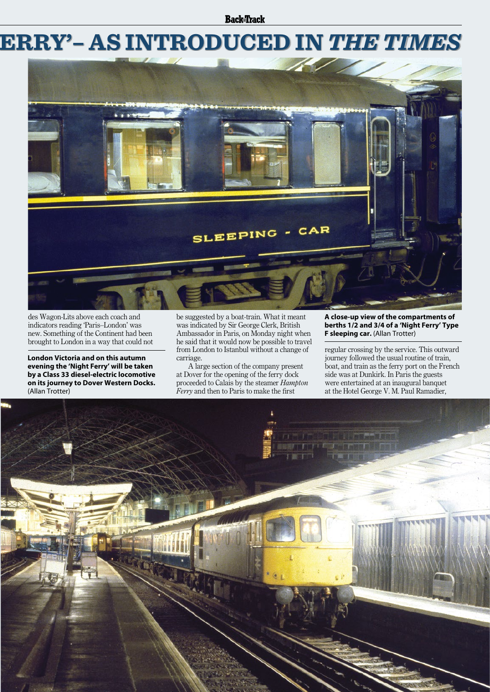**Back**Track

# **THE 'NIGHT FERRY'– AS INTRODUCED IN** *THE TIMES*



des Wagon-Lits above each coach and indicators reading 'Paris–London' was new. Something of the Continent had been brought to London in a way that could not

**London Victoria and on this autumn evening the 'Night Ferry' will be taken by a Class 33 diesel-electric locomotive on its journey to Dover Western Docks.**  (Allan Trotter)

be suggested by a boat-train. What it meant was indicated by Sir George Clerk, British Ambassador in Paris, on Monday night when he said that it would now be possible to travel from London to Istanbul without a change of carriage.

A large section of the company present at Dover for the opening of the ferry dock proceeded to Calais by the steamer *Hampton Ferry* and then to Paris to make the first

#### **A close-up view of the compartments of berths 1/2 and 3/4 of a 'Night Ferry' Type F sleeping car.** (Allan Trotter)

regular crossing by the service. This outward journey followed the usual routine of train, boat, and train as the ferry port on the French side was at Dunkirk. In Paris the guests were entertained at an inaugural banquet at the Hotel George V. M. Paul Ramadier,